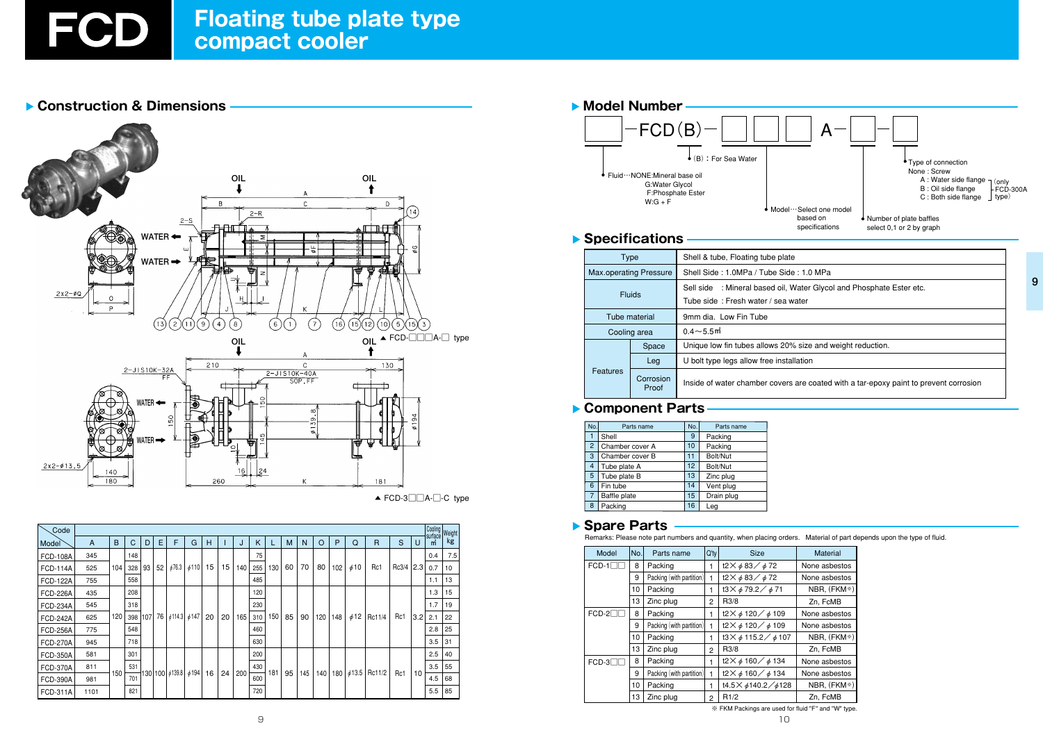#### ▶ Construction & Dimensions

FCD



▲ FCD-3□□A-□-C type

| Code            |      |             |     |            |            |             |                    |      |    |     |     |     |     |    |         |     |           |              |        |     | Cooling   Weight<br> surface |     |
|-----------------|------|-------------|-----|------------|------------|-------------|--------------------|------|----|-----|-----|-----|-----|----|---------|-----|-----------|--------------|--------|-----|------------------------------|-----|
| Model           | A    | $\mathsf B$ | C   | D          | Ε          | F           | G                  | н    |    | J   | K   |     | M   | N  | $\circ$ | P   | Q         | $\mathsf{R}$ | S      | U   | $\mathsf{m}^2$               | kg  |
| <b>FCD-108A</b> | 345  |             | 148 |            |            |             |                    |      |    |     | 75  |     |     |    |         |     |           |              |        |     | 0.4                          | 7.5 |
| <b>FCD-114A</b> | 525  | 104         | 328 | 93         | 52         | $\phi$ 76.3 | $\phi$ 110         | 15   | 15 | 140 | 255 | 130 | 60  | 70 | 80      | 102 | $\phi$ 10 | Rc1          | Rc3/4  | 2.3 | 0.7                          | 10  |
| <b>FCD-122A</b> | 755  |             | 558 |            |            |             |                    |      |    |     | 485 |     |     |    |         |     |           |              |        |     | 1.1                          | 13  |
| <b>FCD-226A</b> | 435  |             | 208 |            |            |             |                    |      |    |     | 120 |     |     |    |         |     |           |              |        |     | 1.3                          | 15  |
| <b>FCD-234A</b> | 545  | 120         |     | 318<br>398 |            |             |                    |      |    |     | 230 |     |     |    |         |     |           |              |        |     | 1.7                          | 19  |
| <b>FCD-242A</b> | 625  |             |     |            | 107<br>548 | 76          | $ $ ø114.3   ø147  |      | 20 | 20  | 165 | 310 | 150 | 85 | 90      | 120 | 148       | $\phi$ 12    | Rc11/4 | Rc1 | 3.2                          | 2.1 |
| <b>FCD-256A</b> | 775  |             |     |            |            |             |                    |      |    |     |     | 460 |     |    |         |     |           |              |        |     |                              | 2.8 |
| <b>FCD-270A</b> | 945  |             | 718 |            |            |             |                    |      |    |     | 630 |     |     |    |         |     |           |              |        |     | 3.5                          | 31  |
| <b>FCD-350A</b> | 581  |             | 301 |            |            |             |                    |      |    |     | 200 |     |     |    |         |     |           |              |        |     | 2.5                          | 40  |
| <b>FCD-370A</b> | 811  | 150         | 531 |            |            |             |                    |      |    |     | 430 |     |     |    |         |     |           |              |        |     | 3.5                          | 55  |
| <b>FCD-390A</b> | 981  |             |     | 701        |            |             | 130   100   6139.8 | 6194 | 16 | 24  | 200 | 600 | 181 | 95 | 145     | 140 | 180       | $\phi$ 13.5  | Rc11/2 | Rc1 | 10                           | 4.5 |
| <b>FCD-311A</b> | 1101 |             | 821 |            |            |             |                    |      |    |     | 720 |     |     |    |         |     |           |              |        |     | 5.5                          | 85  |



| Type          |                        | Shell & tube, Floating tube pla                                |  |  |  |  |  |  |
|---------------|------------------------|----------------------------------------------------------------|--|--|--|--|--|--|
|               | Max.operating Pressure | Shell Side: 1.0MPa / Tube Sid                                  |  |  |  |  |  |  |
| <b>Fluids</b> |                        | Sell side : Mineral based oil,<br>Tube side: Fresh water / sea |  |  |  |  |  |  |
| Tube material |                        | 9mm dia. Low Fin Tube                                          |  |  |  |  |  |  |
| Cooling area  |                        | $0.4\!\sim\!5.5$ m                                             |  |  |  |  |  |  |
|               | Space                  | Unique low fin tubes allows 20                                 |  |  |  |  |  |  |
|               | Leg                    | U bolt type legs allow free inst                               |  |  |  |  |  |  |
| Features      | Corrosion<br>Proof     | Inside of water chamber cover                                  |  |  |  |  |  |  |

#### Component Parts

| No.            | Parts name          | No. | Parts name |  |
|----------------|---------------------|-----|------------|--|
|                | Shell               |     | Packing    |  |
| $\overline{2}$ | Chamber cover A     |     | Packing    |  |
| 3              | Chamber cover B     |     | Bolt/Nut   |  |
| 4              | Tube plate A        | 12  | Bolt/Nut   |  |
| 5              | Tube plate B        | 13  | Zinc plug  |  |
| 6              | Fin tube            | 14  | Vent plug  |  |
|                | <b>Baffle plate</b> | 15  | Drain plug |  |
| 8              | Packing             | 16  | Leg        |  |

#### Spare Parts

Remarks: Please note part numbers and quantity, when placing orders. Material of part depends upon the type of fluid.

| Model   | No.           | Parts name               | $Q'$ ty | <b>Size</b>                       | <b>Material</b>          |  |  |
|---------|---------------|--------------------------|---------|-----------------------------------|--------------------------|--|--|
| $FCD-1$ | 8             | Packing                  | 1       | $t2 \times \phi 83 / \phi 72$     | None asbestos            |  |  |
|         | 9             | Packing (with partition) | 1       | $12 \times \phi 83 / \phi 72$     | None asbestos            |  |  |
|         | 10<br>Packing |                          | 1       | $13 \times 679.2 / 671$           | NBR, (FKM*)              |  |  |
|         | 13            | Zinc plug                | 2       | R3/8                              | Zn, FcMB                 |  |  |
| $FCD-2$ | 8             | Packing                  | 1       | $t2 \times \phi 120 / \phi 109$   | None asbestos            |  |  |
|         | 9             | Packing (with partition) | 1       | $t2 \times \phi 120 / \phi 109$   | None asbestos            |  |  |
|         | Packing<br>10 |                          | 1       | $13 \times \phi 115.2 / \phi 107$ | NBR, (FKM <sup>*</sup> ) |  |  |
|         | 13            | Zinc plug                | 2       | R3/8                              | Zn, FcMB                 |  |  |
| $FCD-3$ | 8             | Packing                  | 1       | $12 \times \phi$ 160 $\neq$ 134   | None asbestos            |  |  |
|         | 9             | Packing (with partition) | 1       | $t2 \times \phi 160 / \phi 134$   | None asbestos            |  |  |
|         | 10            | Packing                  | 1       | t4.5 × \$140.2 / \$128            | NBR, (FKM*)              |  |  |
|         | 13            | Zinc plug                | 2       | R1/2                              | Zn, FcMB                 |  |  |

※ FKM Packings are used for fluid "F" and "W" type.

ide: 1.0 MPa

Water Glycol and Phosphate Ester etc. water

% size and weight reduction.

allation

rs are coated with a tar-epoxy paint to prevent corrosion